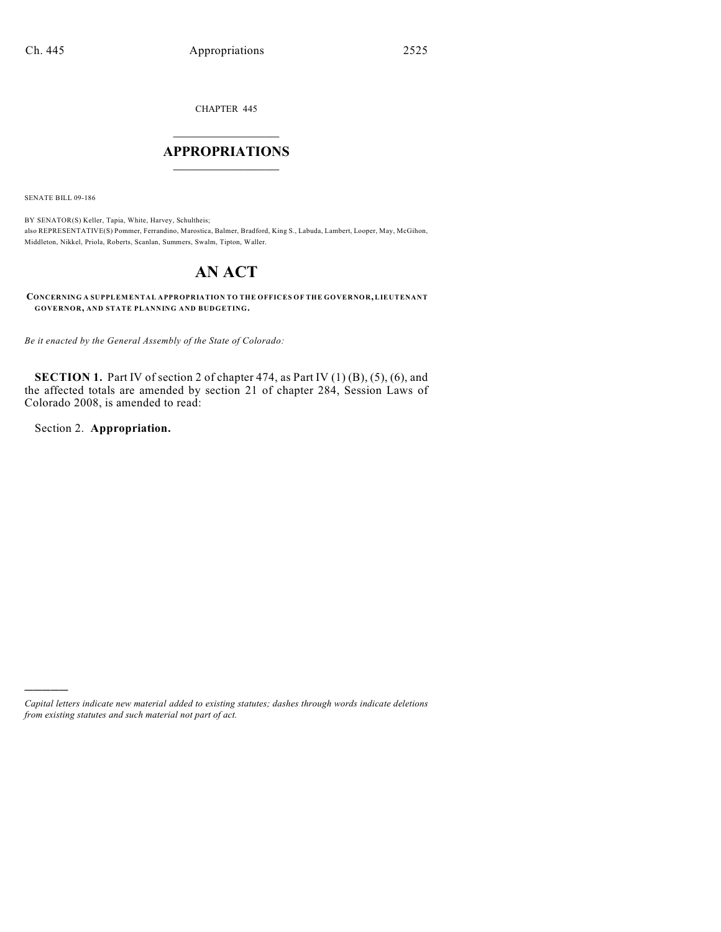CHAPTER 445

## $\mathcal{L}_\text{max}$  . The set of the set of the set of the set of the set of the set of the set of the set of the set of the set of the set of the set of the set of the set of the set of the set of the set of the set of the set **APPROPRIATIONS**  $\_$   $\_$   $\_$   $\_$   $\_$   $\_$   $\_$   $\_$

SENATE BILL 09-186

BY SENATOR(S) Keller, Tapia, White, Harvey, Schultheis; also REPRESENTATIVE(S) Pommer, Ferrandino, Marostica, Balmer, Bradford, King S., Labuda, Lambert, Looper, May, McGihon, Middleton, Nikkel, Priola, Roberts, Scanlan, Summers, Swalm, Tipton, Waller.

# **AN ACT**

**CONCERNING A SUPPLEMENTAL APPROPRIATION TO THE OFFICES OF THE GOVERNOR, LIEUTENANT GOVERNOR, AND STATE PLANNING AND BUDGETING.**

*Be it enacted by the General Assembly of the State of Colorado:*

**SECTION 1.** Part IV of section 2 of chapter 474, as Part IV (1) (B), (5), (6), and the affected totals are amended by section 21 of chapter 284, Session Laws of Colorado 2008, is amended to read:

Section 2. **Appropriation.**

)))))

*Capital letters indicate new material added to existing statutes; dashes through words indicate deletions from existing statutes and such material not part of act.*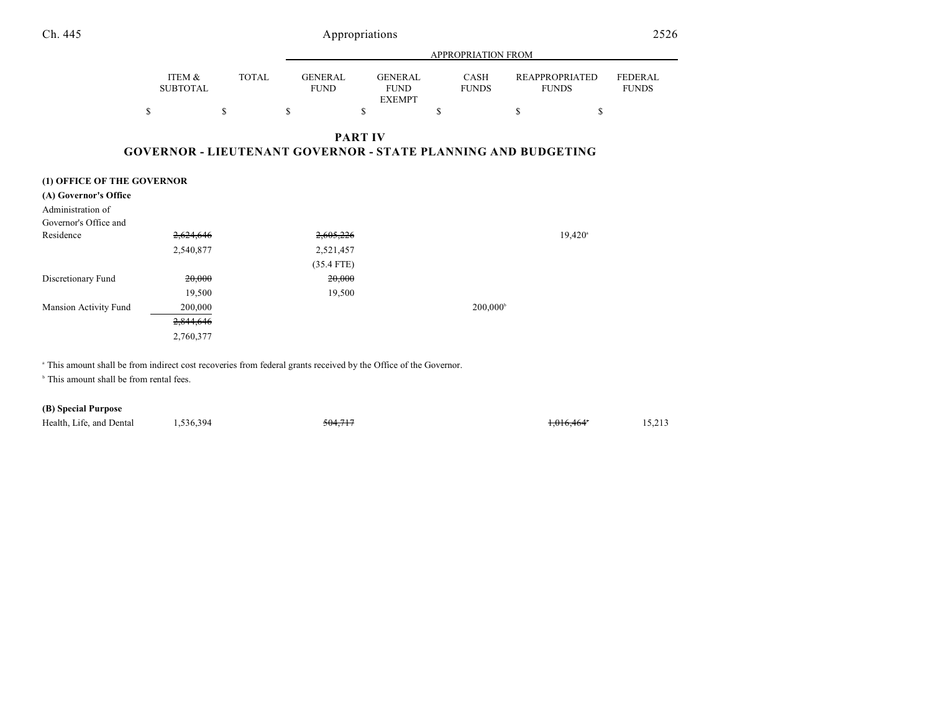|                              |                                                                      |              |                               |                |                                                | <b>APPROPRIATION FROM</b> |                                       |                                |
|------------------------------|----------------------------------------------------------------------|--------------|-------------------------------|----------------|------------------------------------------------|---------------------------|---------------------------------------|--------------------------------|
|                              | ITEM &<br><b>SUBTOTAL</b>                                            | <b>TOTAL</b> | <b>GENERAL</b><br><b>FUND</b> |                | <b>GENERAL</b><br><b>FUND</b><br><b>EXEMPT</b> | CASH<br><b>FUNDS</b>      | <b>REAPPROPRIATED</b><br><b>FUNDS</b> | <b>FEDERAL</b><br><b>FUNDS</b> |
|                              | \$                                                                   | \$           | \$                            | \$             | \$                                             |                           | \$<br>\$                              |                                |
|                              |                                                                      |              |                               | <b>PART IV</b> |                                                |                           |                                       |                                |
|                              | <b>GOVERNOR - LIEUTENANT GOVERNOR - STATE PLANNING AND BUDGETING</b> |              |                               |                |                                                |                           |                                       |                                |
|                              |                                                                      |              |                               |                |                                                |                           |                                       |                                |
| (1) OFFICE OF THE GOVERNOR   |                                                                      |              |                               |                |                                                |                           |                                       |                                |
| (A) Governor's Office        |                                                                      |              |                               |                |                                                |                           |                                       |                                |
| Administration of            |                                                                      |              |                               |                |                                                |                           |                                       |                                |
| Governor's Office and        |                                                                      |              |                               |                |                                                |                           |                                       |                                |
| Residence                    | 2,624,646                                                            |              |                               | 2,605,226      |                                                |                           | $19,420$ <sup>a</sup>                 |                                |
|                              | 2,540,877                                                            |              |                               | 2,521,457      |                                                |                           |                                       |                                |
|                              |                                                                      |              |                               | $(35.4$ FTE)   |                                                |                           |                                       |                                |
| Discretionary Fund           | 20,000                                                               |              |                               | 20,000         |                                                |                           |                                       |                                |
|                              | 19,500                                                               |              |                               | 19,500         |                                                |                           |                                       |                                |
| <b>Mansion Activity Fund</b> | 200,000                                                              |              |                               |                |                                                | $200,000^{\circ}$         |                                       |                                |
|                              | 2,844,646                                                            |              |                               |                |                                                |                           |                                       |                                |
|                              | 2,760,377                                                            |              |                               |                |                                                |                           |                                       |                                |
|                              |                                                                      |              |                               |                |                                                |                           |                                       |                                |

<sup>a</sup> This amount shall be from indirect cost recoveries from federal grants received by the Office of the Governor.

 $b$  This amount shall be from rental fees.

### **(B) Special Purpose**

| Health, Life, and Dental | .,536,394 | 504.717<br>704.71 | $0.16 \text{ A} \leq A$<br>0.010.404 | 15.213<br>$\sim$ $\sim$ |
|--------------------------|-----------|-------------------|--------------------------------------|-------------------------|
|--------------------------|-----------|-------------------|--------------------------------------|-------------------------|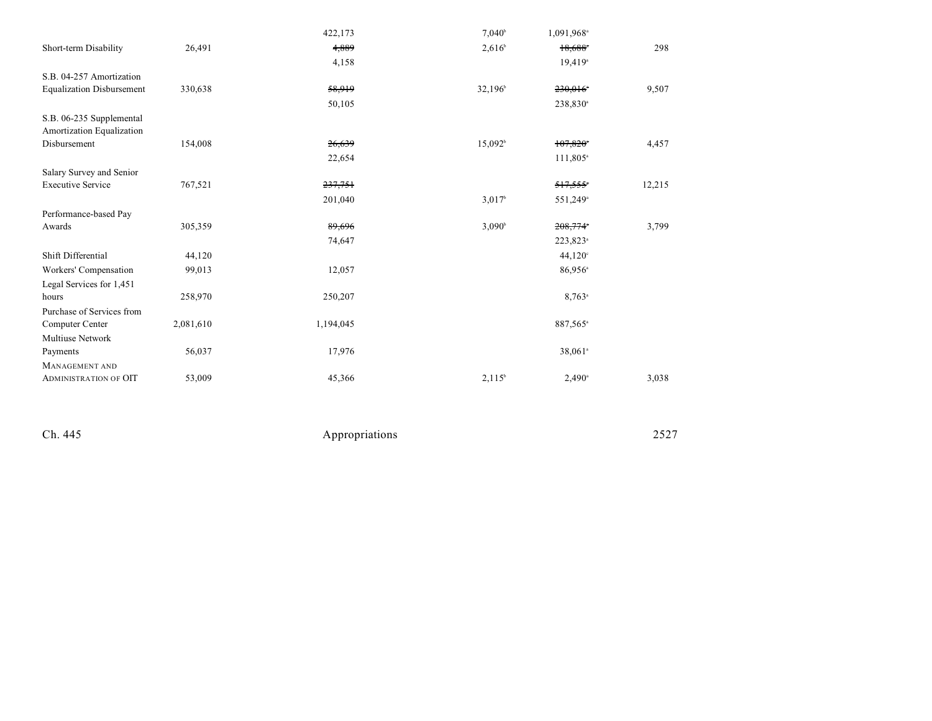|                                                       |           | 422,173   | $7,040^{\rm b}$    | 1,091,968 <sup>a</sup> |        |
|-------------------------------------------------------|-----------|-----------|--------------------|------------------------|--------|
| Short-term Disability                                 | 26,491    | 4,889     | $2,616^{\circ}$    | $18,688$ <sup>*</sup>  | 298    |
|                                                       |           | 4,158     |                    | $19,419$ <sup>a</sup>  |        |
| S.B. 04-257 Amortization                              |           |           |                    |                        |        |
| <b>Equalization Disbursement</b>                      | 330,638   | 58,919    | $32,196^{\circ}$   | 230,016*               | 9,507  |
|                                                       |           | 50,105    |                    | 238,830 <sup>a</sup>   |        |
| S.B. 06-235 Supplemental<br>Amortization Equalization |           |           |                    |                        |        |
| Disbursement                                          | 154,008   | 26,639    | $15,092^b$         | 107,820*               | 4,457  |
|                                                       |           | 22,654    |                    | 111,805 <sup>a</sup>   |        |
| Salary Survey and Senior                              |           |           |                    |                        |        |
| <b>Executive Service</b>                              | 767,521   | 237,751   |                    | 517,555*               | 12,215 |
|                                                       |           | 201,040   | 3,017 <sup>b</sup> | 551,249 <sup>a</sup>   |        |
| Performance-based Pay                                 |           |           |                    |                        |        |
| Awards                                                | 305,359   | 89,696    | $3,090^{\circ}$    | 208,774°               | 3,799  |
|                                                       |           | 74,647    |                    | 223,823 <sup>a</sup>   |        |
| Shift Differential                                    | 44,120    |           |                    | 44,120°                |        |
| Workers' Compensation                                 | 99,013    | 12,057    |                    | $86,956^{\circ}$       |        |
| Legal Services for 1,451                              |           |           |                    |                        |        |
| hours                                                 | 258,970   | 250,207   |                    | $8,763$ <sup>a</sup>   |        |
| Purchase of Services from                             |           |           |                    |                        |        |
| Computer Center                                       | 2,081,610 | 1,194,045 |                    | 887,565 <sup>a</sup>   |        |
| <b>Multiuse Network</b>                               |           |           |                    |                        |        |
| Payments                                              | 56,037    | 17,976    |                    | 38,061 <sup>a</sup>    |        |
| MANAGEMENT AND                                        |           |           |                    |                        |        |
| <b>ADMINISTRATION OF OIT</b>                          | 53,009    | 45,366    | $2,115^b$          | $2,490$ <sup>a</sup>   | 3,038  |
|                                                       |           |           |                    |                        |        |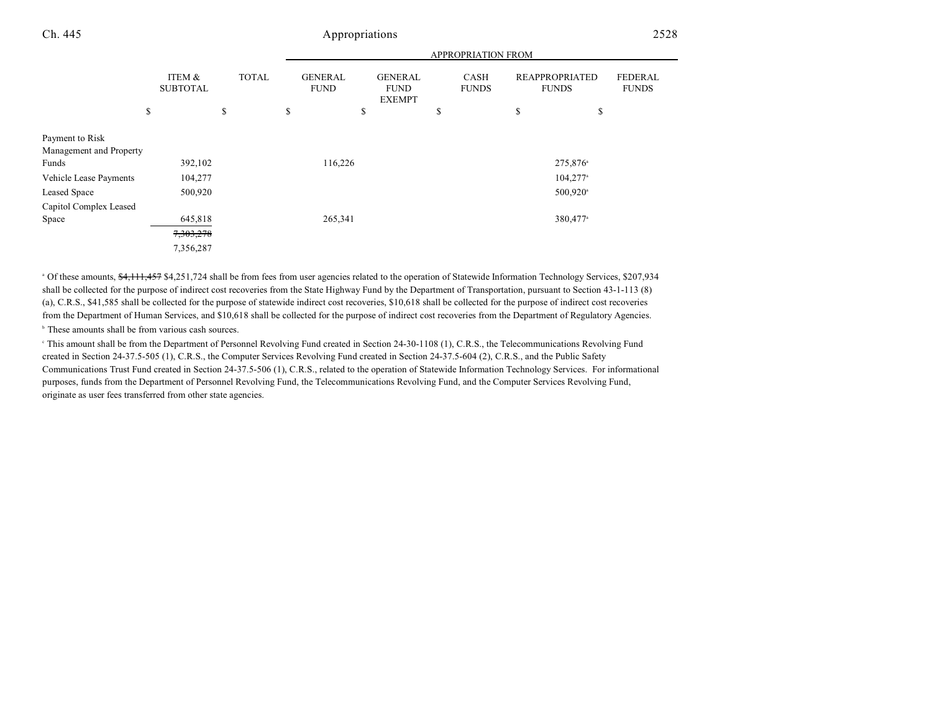APPROPRIATION FROM

|                                                                                               |                                   |                    | APPROPRIATION FROM                  |                                                      |                                   |                                                                        |                                |
|-----------------------------------------------------------------------------------------------|-----------------------------------|--------------------|-------------------------------------|------------------------------------------------------|-----------------------------------|------------------------------------------------------------------------|--------------------------------|
|                                                                                               | ITEM &<br><b>SUBTOTAL</b><br>\$   | <b>TOTAL</b><br>\$ | <b>GENERAL</b><br><b>FUND</b><br>\$ | <b>GENERAL</b><br><b>FUND</b><br><b>EXEMPT</b><br>\$ | <b>CASH</b><br><b>FUNDS</b><br>\$ | <b>REAPPROPRIATED</b><br><b>FUNDS</b><br>\$<br>\$                      | <b>FEDERAL</b><br><b>FUNDS</b> |
| Payment to Risk<br>Management and Property<br>Funds<br>Vehicle Lease Payments<br>Leased Space | 392,102<br>104,277<br>500,920     |                    | 116,226                             |                                                      |                                   | 275,876 <sup>a</sup><br>$104,277$ <sup>a</sup><br>500,920 <sup>a</sup> |                                |
| Capitol Complex Leased<br>Space                                                               | 645,818<br>7,303,278<br>7,356,287 |                    | 265,341                             |                                                      |                                   | 380,477 <sup>a</sup>                                                   |                                |

<sup>a</sup> Of these amounts,  $\frac{4,111,457}{4}$  \$4,251,724 shall be from fees from user agencies related to the operation of Statewide Information Technology Services, \$207,934 shall be collected for the purpose of indirect cost recoveries from the State Highway Fund by the Department of Transportation, pursuant to Section 43-1-113 (8) (a), C.R.S., \$41,585 shall be collected for the purpose of statewide indirect cost recoveries, \$10,618 shall be collected for the purpose of indirect cost recoveries from the Department of Human Services, and \$10,618 shall be collected for the purpose of indirect cost recoveries from the Department of Regulatory Agencies.

 $<sup>b</sup>$  These amounts shall be from various cash sources.</sup>

<sup>e</sup> This amount shall be from the Department of Personnel Revolving Fund created in Section 24-30-1108 (1), C.R.S., the Telecommunications Revolving Fund created in Section 24-37.5-505 (1), C.R.S., the Computer Services Revolving Fund created in Section 24-37.5-604 (2), C.R.S., and the Public Safety Communications Trust Fund created in Section 24-37.5-506 (1), C.R.S., related to the operation of Statewide Information Technology Services. For informational purposes, funds from the Department of Personnel Revolving Fund, the Telecommunications Revolving Fund, and the Computer Services Revolving Fund, originate as user fees transferred from other state agencies.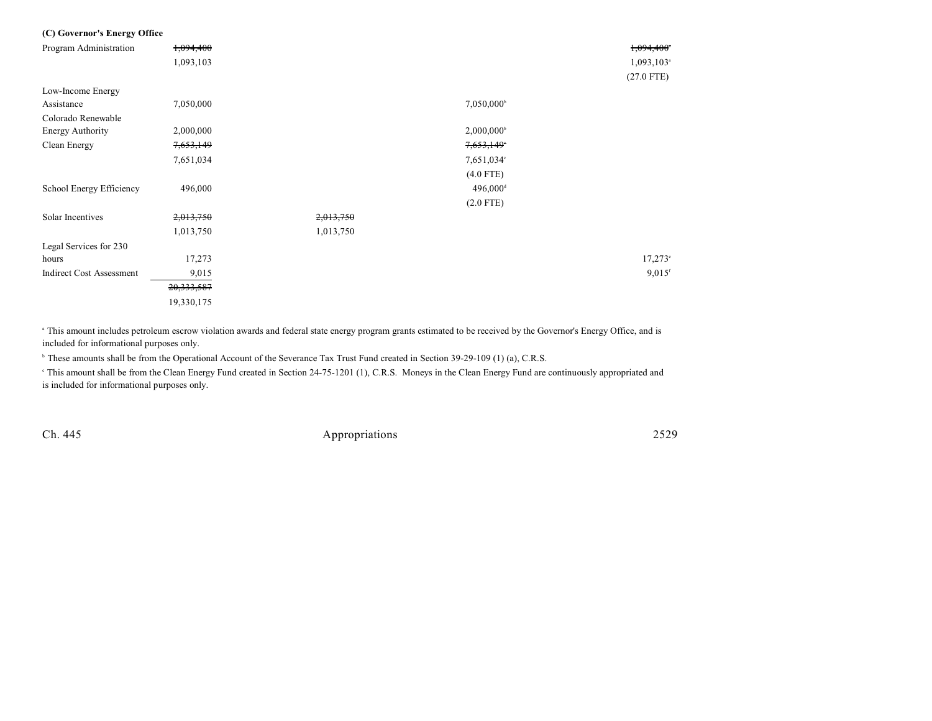| (C) Governor's Energy Office    |            |           |                        |                          |
|---------------------------------|------------|-----------|------------------------|--------------------------|
| Program Administration          | 1,094,400  |           |                        | 1,094,400*               |
|                                 | 1,093,103  |           |                        | $1,093,103$ <sup>a</sup> |
|                                 |            |           |                        | $(27.0$ FTE)             |
| Low-Income Energy               |            |           |                        |                          |
| Assistance                      | 7,050,000  |           | 7,050,000 <sup>b</sup> |                          |
| Colorado Renewable              |            |           |                        |                          |
| <b>Energy Authority</b>         | 2,000,000  |           | $2,000,000^{\circ}$    |                          |
| Clean Energy                    | 7,653,149  |           | 7,653,149              |                          |
|                                 | 7,651,034  |           | 7,651,034°             |                          |
|                                 |            |           | $(4.0$ FTE)            |                          |
| School Energy Efficiency        | 496,000    |           | 496,000 <sup>d</sup>   |                          |
|                                 |            |           | $(2.0$ FTE)            |                          |
| Solar Incentives                | 2,013,750  | 2,013,750 |                        |                          |
|                                 | 1,013,750  | 1,013,750 |                        |                          |
| Legal Services for 230          |            |           |                        |                          |
| hours                           | 17,273     |           |                        | $17,273^{\circ}$         |
| <b>Indirect Cost Assessment</b> | 9,015      |           |                        | $9,015$ <sup>f</sup>     |
|                                 | 20,333,587 |           |                        |                          |
|                                 | 19,330,175 |           |                        |                          |

<sup>a</sup> This amount includes petroleum escrow violation awards and federal state energy program grants estimated to be received by the Governor's Energy Office, and is included for informational purposes only.

<sup>b</sup> These amounts shall be from the Operational Account of the Severance Tax Trust Fund created in Section 39-29-109 (1) (a), C.R.S.

 This amount shall be from the Clean Energy Fund created in Section 24-75-1201 (1), C.R.S. Moneys in the Clean Energy Fund are continuously appropriated and <sup>c</sup> is included for informational purposes only.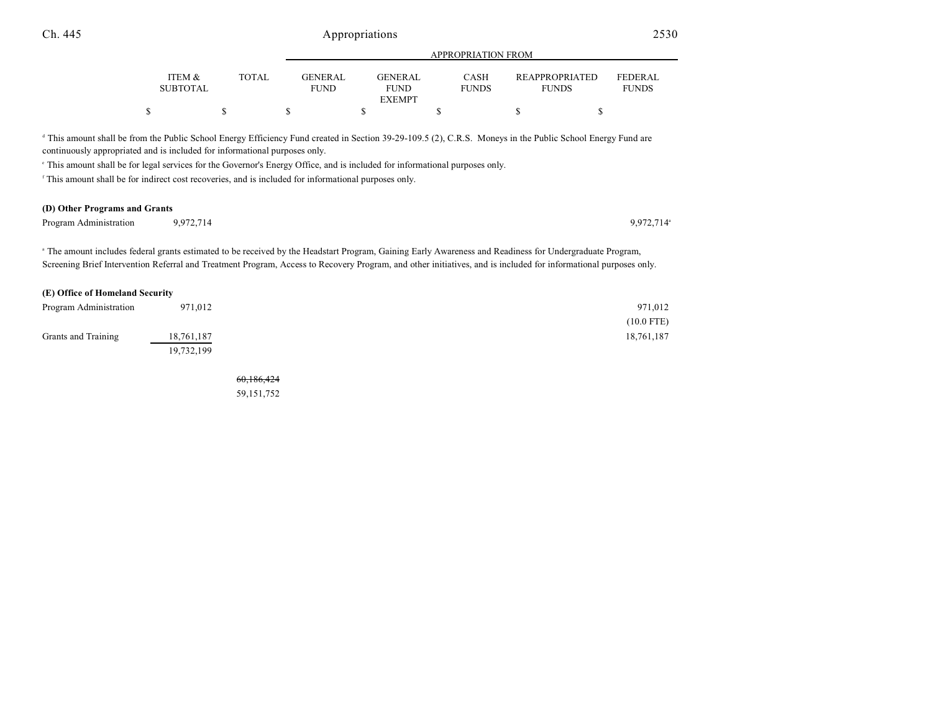|                           |       |                               | APPROPRIATION FROM            |                             |                                       |                                |  |
|---------------------------|-------|-------------------------------|-------------------------------|-----------------------------|---------------------------------------|--------------------------------|--|
| ITEM &<br><b>SUBTOTAL</b> | TOTAL | <b>GENERAL</b><br><b>FUND</b> | <b>GENERAL</b><br><b>FUND</b> | <b>CASH</b><br><b>FUNDS</b> | <b>REAPPROPRIATED</b><br><b>FUNDS</b> | <b>FEDERAL</b><br><b>FUNDS</b> |  |
|                           |       |                               | <b>EXEMPT</b>                 |                             |                                       |                                |  |
|                           |       |                               |                               |                             |                                       |                                |  |

<sup>d</sup> This amount shall be from the Public School Energy Efficiency Fund created in Section 39-29-109.5 (2), C.R.S. Moneys in the Public School Energy Fund are continuously appropriated and is included for informational purposes only.

 $\degree$  This amount shall be for legal services for the Governor's Energy Office, and is included for informational purposes only.

<sup>f</sup> This amount shall be for indirect cost recoveries, and is included for informational purposes only.

#### **(D) Other Programs and Grants**

| Program Administration | 9.972.714 | 9.972.714 |
|------------------------|-----------|-----------|

The amount includes federal grants estimated to be received by the Headstart Program, Gaining Early Awareness and Readiness for Undergraduate Program, Screening Brief Intervention Referral and Treatment Program, Access to Recovery Program, and other initiatives, and is included for informational purposes only.

| (E) Office of Homeland Security |            |              |
|---------------------------------|------------|--------------|
| Program Administration          | 971.012    | 971,012      |
|                                 |            | $(10.0$ FTE) |
| Grants and Training             | 18,761,187 | 18,761,187   |
|                                 | 19,732,199 |              |

60,186,424 59,151,752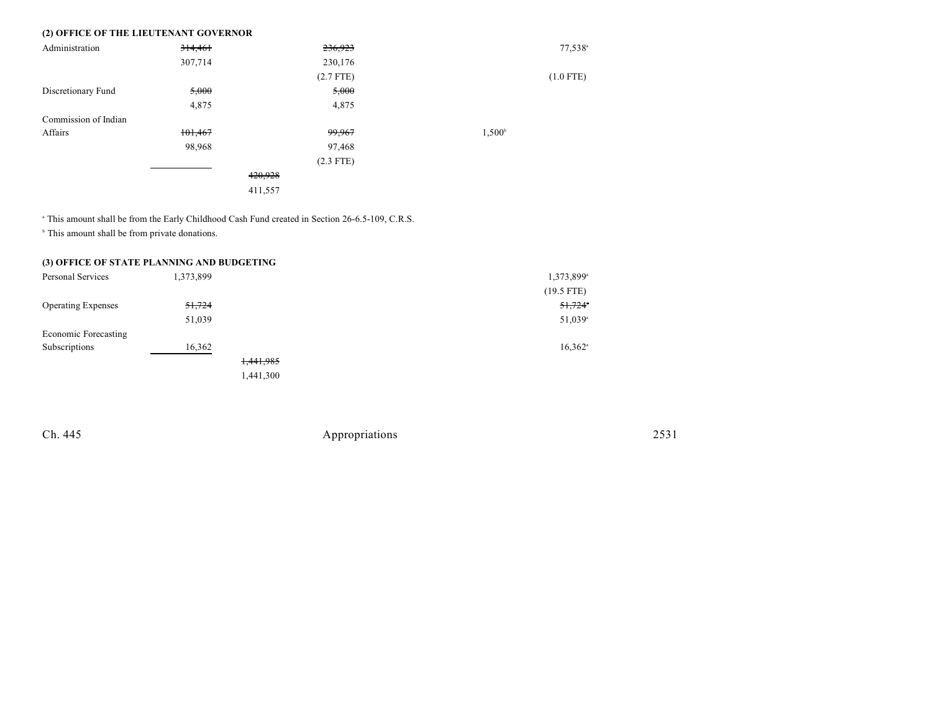### **(2) OFFICE OF THE LIEUTENANT GOVERNOR**

| Administration       | 314,461 | 236,923     |                 | $77,538^{\circ}$ |
|----------------------|---------|-------------|-----------------|------------------|
|                      | 307,714 | 230,176     |                 |                  |
|                      |         | $(2.7$ FTE) |                 | $(1.0$ FTE)      |
| Discretionary Fund   | 5,000   | 5,000       |                 |                  |
|                      | 4,875   | 4,875       |                 |                  |
| Commission of Indian |         |             |                 |                  |
| Affairs              | 101,467 | 99,967      | $1,500^{\circ}$ |                  |
|                      | 98,968  | 97,468      |                 |                  |
|                      |         | $(2.3$ FTE) |                 |                  |
|                      |         | 420,928     |                 |                  |
|                      |         | 411,557     |                 |                  |

<sup>a</sup> This amount shall be from the Early Childhood Cash Fund created in Section 26-6.5-109, C.R.S.

 $\,^{\circ}$  This amount shall be from private donations.

#### **(3) OFFICE OF STATE PLANNING AND BUDGETING**

| Personal Services         | 1,373,899 |           | 1,373,899 <sup>a</sup> |
|---------------------------|-----------|-----------|------------------------|
|                           |           |           | $(19.5$ FTE)           |
| <b>Operating Expenses</b> | 51,724    |           | 51,724                 |
|                           | 51,039    |           | 51,039 <sup>a</sup>    |
| Economic Forecasting      |           |           |                        |
| Subscriptions             | 16,362    |           | $16,362$ <sup>a</sup>  |
|                           |           | 1,441,985 |                        |
|                           |           | 1,441,300 |                        |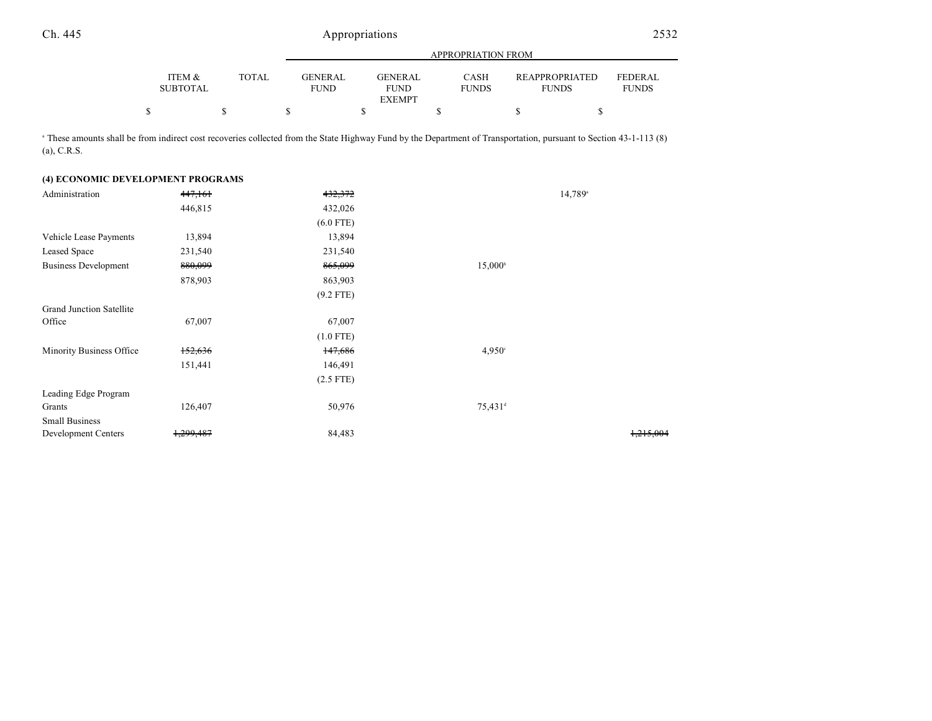|                           |       |                        | APPROPRIATION FROM     |                             |                                       |                         |  |  |
|---------------------------|-------|------------------------|------------------------|-----------------------------|---------------------------------------|-------------------------|--|--|
| ITEM &<br><b>SUBTOTAL</b> | TOTAL | GENERAL<br><b>FUND</b> | GENERAL<br><b>FUND</b> | <b>CASH</b><br><b>FUNDS</b> | <b>REAPPROPRIATED</b><br><b>FUNDS</b> | FEDERAL<br><b>FUNDS</b> |  |  |
|                           |       |                        | <b>EXEMPT</b>          |                             |                                       |                         |  |  |
|                           |       |                        |                        |                             |                                       |                         |  |  |

<sup>a</sup> These amounts shall be from indirect cost recoveries collected from the State Highway Fund by the Department of Transportation, pursuant to Section 43-1-113 (8) (a), C.R.S.

#### **(4) ECONOMIC DEVELOPMENT PROGRAMS**

| Administration                  | 447,161   | 432,372     |                     | 14,789 <sup>a</sup>  |
|---------------------------------|-----------|-------------|---------------------|----------------------|
|                                 | 446,815   | 432,026     |                     |                      |
|                                 |           | $(6.0$ FTE) |                     |                      |
| Vehicle Lease Payments          | 13,894    | 13,894      |                     |                      |
| Leased Space                    | 231,540   | 231,540     |                     |                      |
| <b>Business Development</b>     | 880,099   | 865,099     | $15,000^{\circ}$    |                      |
|                                 | 878,903   | 863,903     |                     |                      |
|                                 |           | $(9.2$ FTE) |                     |                      |
| <b>Grand Junction Satellite</b> |           |             |                     |                      |
| Office                          | 67,007    | 67,007      |                     |                      |
|                                 |           | $(1.0$ FTE) |                     |                      |
| Minority Business Office        | 152,636   | 147,686     | $4,950^{\circ}$     |                      |
|                                 | 151,441   | 146,491     |                     |                      |
|                                 |           | $(2.5$ FTE) |                     |                      |
| Leading Edge Program            |           |             |                     |                      |
| Grants                          | 126,407   | 50,976      | 75,431 <sup>d</sup> |                      |
| <b>Small Business</b>           |           |             |                     |                      |
| Development Centers             | 1,299,487 | 84,483      |                     | <del>1,215,004</del> |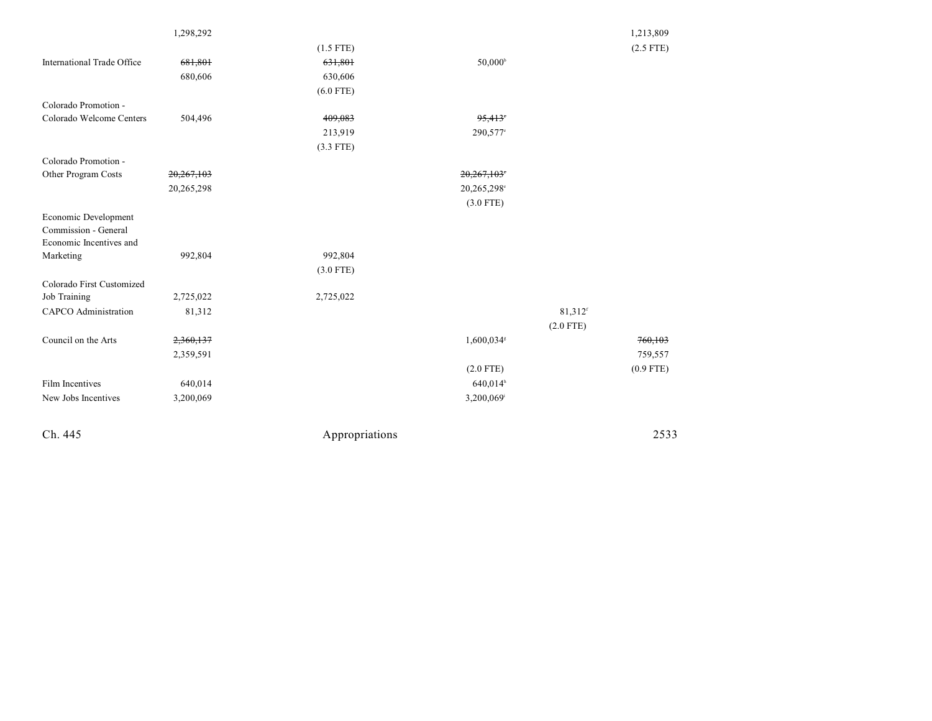|                                                                         |            | $(3.3$ FTE)    |                         |                     |             |
|-------------------------------------------------------------------------|------------|----------------|-------------------------|---------------------|-------------|
| Colorado Promotion -                                                    |            |                |                         |                     |             |
| Other Program Costs                                                     | 20,267,103 |                | 20,267,103              |                     |             |
|                                                                         | 20,265,298 |                | 20,265,298 <sup>e</sup> |                     |             |
|                                                                         |            |                | $(3.0$ FTE)             |                     |             |
| Economic Development<br>Commission - General<br>Economic Incentives and |            |                |                         |                     |             |
| Marketing                                                               | 992,804    | 992,804        |                         |                     |             |
|                                                                         |            | $(3.0$ FTE)    |                         |                     |             |
| Colorado First Customized                                               |            |                |                         |                     |             |
| Job Training                                                            | 2,725,022  | 2,725,022      |                         |                     |             |
|                                                                         |            |                |                         |                     |             |
| <b>CAPCO</b> Administration                                             | 81,312     |                |                         | 81,312 <sup>f</sup> |             |
|                                                                         |            |                |                         | $(2.0$ FTE)         |             |
| Council on the Arts                                                     | 2,360,137  |                | 1,600,034*              |                     | 760,103     |
|                                                                         | 2,359,591  |                |                         |                     | 759,557     |
|                                                                         |            |                | $(2.0$ FTE)             |                     | $(0.9$ FTE) |
| Film Incentives                                                         | 640,014    |                | 640,014h                |                     |             |
| New Jobs Incentives                                                     | 3,200,069  |                | 3,200,069               |                     |             |
|                                                                         |            |                |                         |                     |             |
| Ch. 445                                                                 |            | Appropriations |                         |                     | 2533        |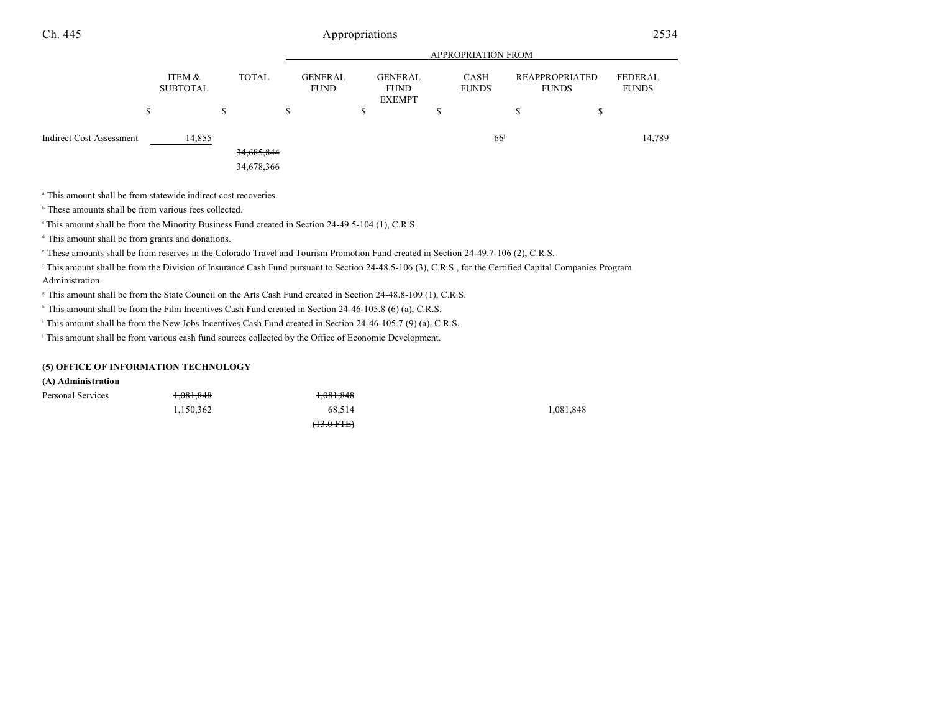|                          |                           |   |                          |                               |   |                                         |   | <b>APPROPRIATION FROM</b> |    |                                       |                         |
|--------------------------|---------------------------|---|--------------------------|-------------------------------|---|-----------------------------------------|---|---------------------------|----|---------------------------------------|-------------------------|
|                          | ITEM &<br><b>SUBTOTAL</b> |   | <b>TOTAL</b>             | <b>GENERAL</b><br><b>FUND</b> |   | GENERAL<br><b>FUND</b><br><b>EXEMPT</b> |   | CASH<br><b>FUNDS</b>      |    | <b>REAPPROPRIATED</b><br><b>FUNDS</b> | FEDERAL<br><b>FUNDS</b> |
|                          | \$                        | S |                          | \$                            | J |                                         | P |                           | D. | Ф                                     |                         |
| Indirect Cost Assessment | 14,855                    |   | 34,685,844<br>34,678,366 |                               |   |                                         |   | 66 <sup>j</sup>           |    |                                       | 14,789                  |

<sup>a</sup> This amount shall be from statewide indirect cost recoveries.

 $\,^{\circ}$  These amounts shall be from various fees collected.

<sup>e</sup> This amount shall be from the Minority Business Fund created in Section 24-49.5-104 (1), C.R.S.

<sup>d</sup> This amount shall be from grants and donations.

<sup>e</sup> These amounts shall be from reserves in the Colorado Travel and Tourism Promotion Fund created in Section 24-49.7-106 (2), C.R.S.

<sup>f</sup> This amount shall be from the Division of Insurance Cash Fund pursuant to Section 24-48.5-106 (3), C.R.S., for the Certified Capital Companies Program Administration.

<sup>8</sup> This amount shall be from the State Council on the Arts Cash Fund created in Section 24-48.8-109 (1), C.R.S.

<sup>h</sup> This amount shall be from the Film Incentives Cash Fund created in Section 24-46-105.8 (6) (a), C.R.S.

<sup>1</sup> This amount shall be from the New Jobs Incentives Cash Fund created in Section 24-46-105.7 (9) (a), C.R.S.

<sup>j</sup> This amount shall be from various cash fund sources collected by the Office of Economic Development.

#### **(5) OFFICE OF INFORMATION TECHNOLOGY**

#### **(A) Administration**

| Personal Services | <del>1,081,848</del> | 1,081,848       |           |
|-------------------|----------------------|-----------------|-----------|
|                   | 1.150.362            | 68.514          | 1,081,848 |
|                   |                      | $(13.0$ FTE $)$ |           |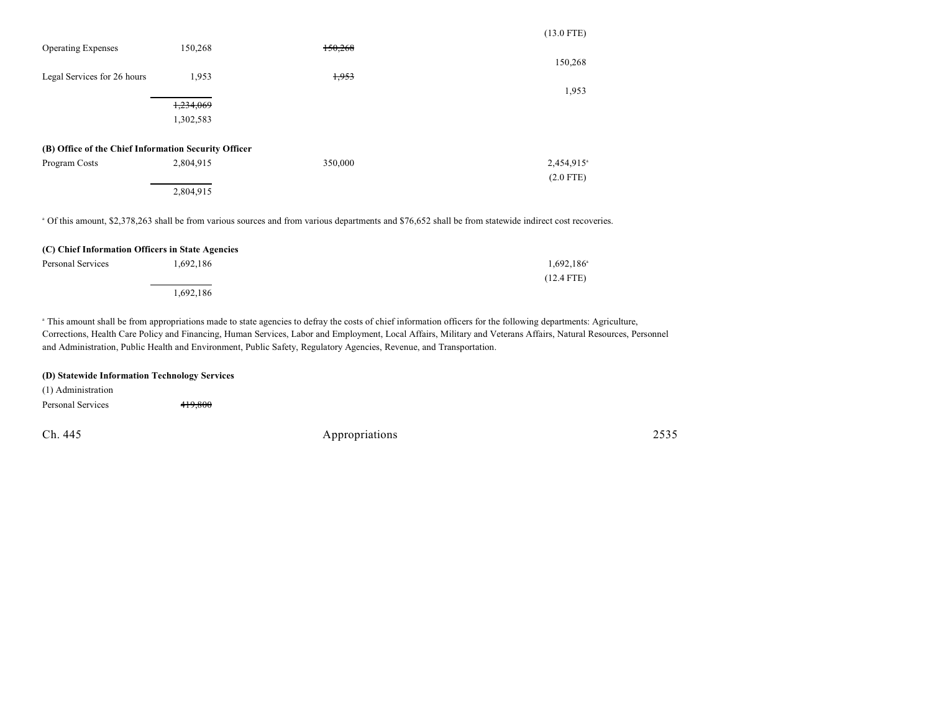|                                                      |           |         | $(13.0$ FTE)           |
|------------------------------------------------------|-----------|---------|------------------------|
| <b>Operating Expenses</b>                            | 150,268   | 150,268 |                        |
|                                                      |           |         | 150,268                |
| Legal Services for 26 hours                          | 1,953     | 1,953   |                        |
|                                                      |           |         | 1,953                  |
|                                                      | 1,234,069 |         |                        |
|                                                      | 1,302,583 |         |                        |
| (B) Office of the Chief Information Security Officer |           |         |                        |
| Program Costs                                        | 2,804,915 | 350,000 | 2,454,915 <sup>a</sup> |
|                                                      |           |         | $(2.0$ FTE)            |
|                                                      | 2,804,915 |         |                        |

Of this amount, \$2,378,263 shall be from various sources and from various departments and \$76,652 shall be from statewide indirect cost recoveries. <sup>a</sup>

#### **(C) Chief Information Officers in State Agencies**

| Personal Services | 1,692,186 | $1,692,186^{\circ}$ |
|-------------------|-----------|---------------------|
|                   |           | $(12.4$ FTE)        |
|                   | 1,692,186 |                     |

<sup>a</sup> This amount shall be from appropriations made to state agencies to defray the costs of chief information officers for the following departments: Agriculture, Corrections, Health Care Policy and Financing, Human Services, Labor and Employment, Local Affairs, Military and Veterans Affairs, Natural Resources, Personnel and Administration, Public Health and Environment, Public Safety, Regulatory Agencies, Revenue, and Transportation.

#### **(D) Statewide Information Technology Services**

Ch. 445 Appropriations 2535 (1) Administration Personal Services 419,800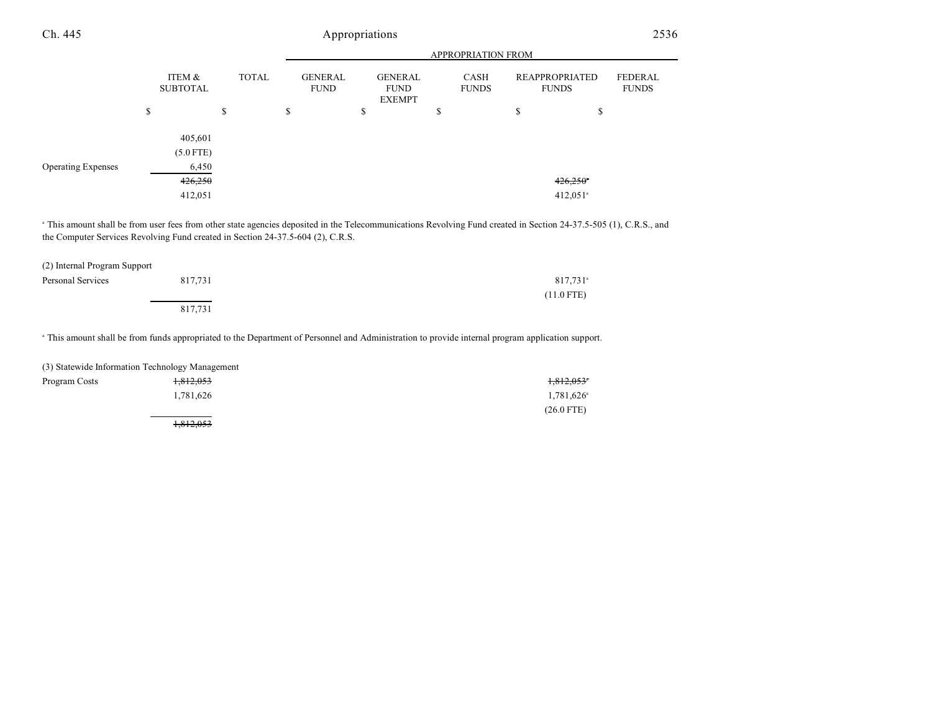|                           |                                 |        |              |                        |                                                | APPROPRIATION FROM   |        |                                |                                |
|---------------------------|---------------------------------|--------|--------------|------------------------|------------------------------------------------|----------------------|--------|--------------------------------|--------------------------------|
|                           | ITEM &<br><b>SUBTOTAL</b>       |        | <b>TOTAL</b> | GENERAL<br><b>FUND</b> | <b>GENERAL</b><br><b>FUND</b><br><b>EXEMPT</b> | CASH<br><b>FUNDS</b> |        | REAPPROPRIATED<br><b>FUNDS</b> | <b>FEDERAL</b><br><b>FUNDS</b> |
|                           | \$                              | ¢<br>D |              | \$                     | \$                                             | \$                   | ¢<br>Ф | \$                             |                                |
| <b>Operating Expenses</b> | 405,601<br>$(5.0$ FTE)<br>6,450 |        |              |                        |                                                |                      |        |                                |                                |
|                           | 426,250                         |        |              |                        |                                                |                      |        | $426,250$ <sup>*</sup>         |                                |
|                           | 412,051                         |        |              |                        |                                                |                      |        | $412,051$ <sup>a</sup>         |                                |

<sup>a</sup> This amount shall be from user fees from other state agencies deposited in the Telecommunications Revolving Fund created in Section 24-37.5-505 (1), C.R.S., and the Computer Services Revolving Fund created in Section 24-37.5-604 (2), C.R.S.

| (2) Internal Program Support |         |                        |
|------------------------------|---------|------------------------|
| Personal Services            | 817,731 | $817,731$ <sup>a</sup> |
|                              |         | $(11.0$ FTE)           |
|                              | 817,731 |                        |

<sup>a</sup> This amount shall be from funds appropriated to the Department of Personnel and Administration to provide internal program application support.

|               | (3) Statewide Information Technology Management |                          |
|---------------|-------------------------------------------------|--------------------------|
| Program Costs | <del>1,812,053</del>                            | $1,812,053$ <sup>*</sup> |
|               | 1.781.626                                       | $1,781,626$ <sup>a</sup> |
|               |                                                 | $(26.0$ FTE)             |
|               | <del>1.812.053</del>                            |                          |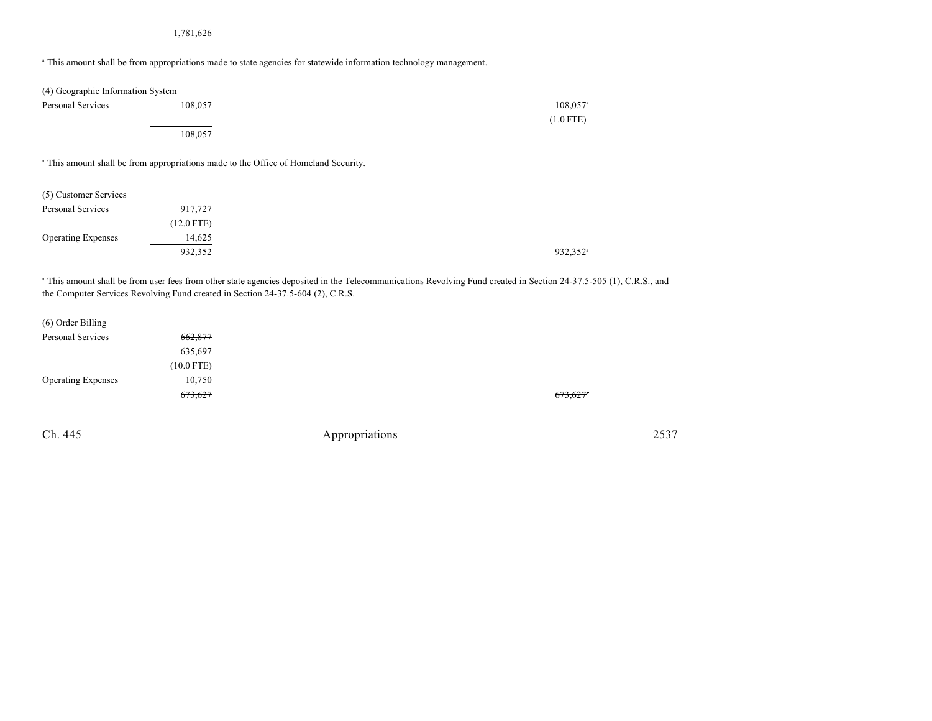#### 1,781,626

This amount shall be from appropriations made to state agencies for statewide information technology management. <sup>a</sup>

| (4) Geographic Information System |         |                        |
|-----------------------------------|---------|------------------------|
| Personal Services                 | 108,057 | $108,057$ <sup>a</sup> |
|                                   |         | $(1.0$ FTE)            |
|                                   | 108,057 |                        |

This amount shall be from appropriations made to the Office of Homeland Security. <sup>a</sup>

| (5) Customer Services     |              |
|---------------------------|--------------|
| Personal Services         | 917,727      |
|                           | $(12.0$ FTE) |
| <b>Operating Expenses</b> | 14,625       |
|                           | 932,352      |

<sup>a</sup> This amount shall be from user fees from other state agencies deposited in the Telecommunications Revolving Fund created in Section 24-37.5-505 (1), C.R.S., and the Computer Services Revolving Fund created in Section 24-37.5-604 (2), C.R.S.

| (6) Order Billing         |              |
|---------------------------|--------------|
| Personal Services         | 662,877      |
|                           | 635,697      |
|                           | $(10.0$ FTE) |
| <b>Operating Expenses</b> | 10,750       |
|                           | 673,627      |
|                           |              |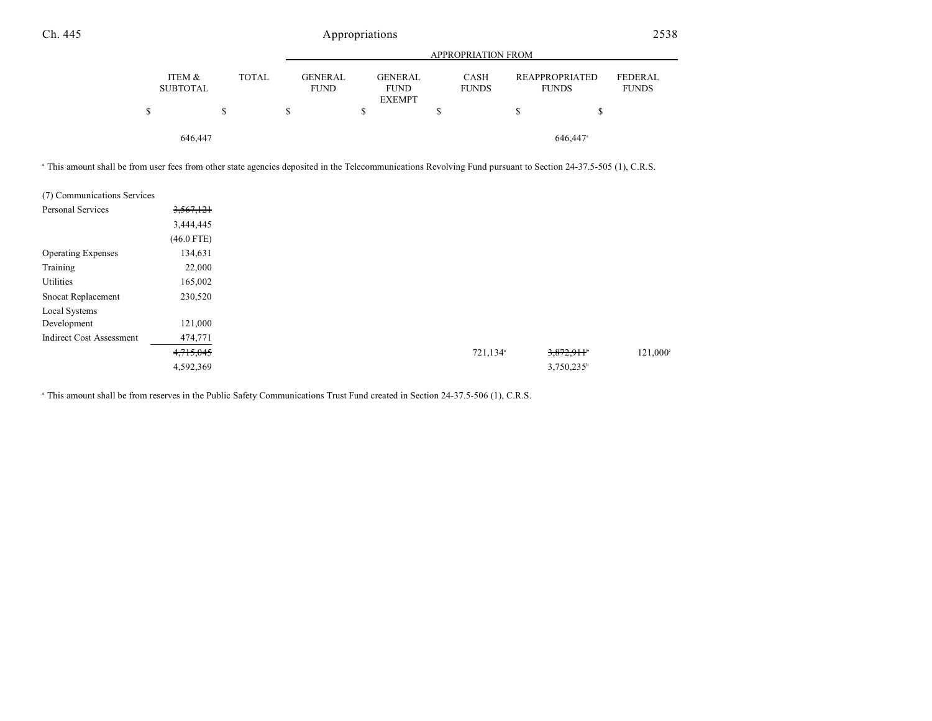|                                           |                               | <b>APPROPRIATION FROM</b>                      |                             |                                       |                                |  |  |  |
|-------------------------------------------|-------------------------------|------------------------------------------------|-----------------------------|---------------------------------------|--------------------------------|--|--|--|
| ITEM &<br><b>TOTAL</b><br><b>SUBTOTAL</b> | <b>GENERAL</b><br><b>FUND</b> | <b>GENERAL</b><br><b>FUND</b><br><b>EXEMPT</b> | <b>CASH</b><br><b>FUNDS</b> | <b>REAPPROPRIATED</b><br><b>FUNDS</b> | <b>FEDERAL</b><br><b>FUNDS</b> |  |  |  |
| \$<br>S                                   | S                             | \$                                             | S                           | S                                     |                                |  |  |  |
| 646,447                                   |                               |                                                |                             | 646,447 <sup>a</sup>                  |                                |  |  |  |

<sup>a</sup> This amount shall be from user fees from other state agencies deposited in the Telecommunications Revolving Fund pursuant to Section 24-37.5-505 (1), C.R.S.

| (7) Communications Services     |              |
|---------------------------------|--------------|
| <b>Personal Services</b>        | 3,567,121    |
|                                 | 3,444,445    |
|                                 | $(46.0$ FTE) |
| <b>Operating Expenses</b>       | 134,631      |
| Training                        | 22,000       |
| Utilities                       | 165,002      |
| Snocat Replacement              | 230,520      |
| Local Systems                   |              |
| Development                     | 121,000      |
| <b>Indirect Cost Assessment</b> | 474,771      |
|                                 | 4,715,045    |
|                                 | 4,592,369    |

This amount shall be from reserves in the Public Safety Communications Trust Fund created in Section 24-37.5-506 (1), C.R.S. <sup>a</sup>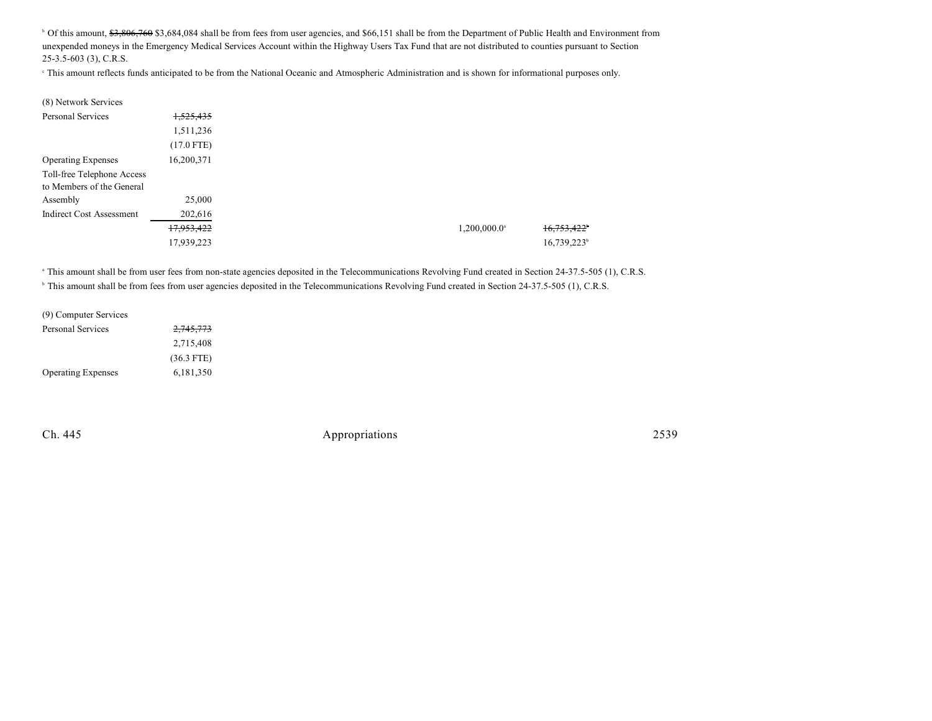<sup>b</sup> Of this amount, \$3,806,760 \$3,684,084 shall be from fees from user agencies, and \$66,151 shall be from the Department of Public Health and Environment from unexpended moneys in the Emergency Medical Services Account within the Highway Users Tax Fund that are not distributed to counties pursuant to Section 25-3.5-603 (3), C.R.S.

This amount reflects funds anticipated to be from the National Oceanic and Atmospheric Administration and is shown for informational purposes only. <sup>c</sup>

| (8) Network Services                    |                            |                |
|-----------------------------------------|----------------------------|----------------|
| <b>Personal Services</b><br>1,525,435   |                            |                |
| 1,511,236                               |                            |                |
| $(17.0$ FTE)                            |                            |                |
| 16,200,371<br><b>Operating Expenses</b> |                            |                |
| Toll-free Telephone Access              |                            |                |
| to Members of the General               |                            |                |
| 25,000<br>Assembly                      |                            |                |
| 202,616<br>Indirect Cost Assessment     |                            |                |
| 17,953,422                              | $1,200,000.0$ <sup>a</sup> | 16,753,422     |
| 17,939,223                              |                            | $16,739,223^b$ |

<sup>a</sup> This amount shall be from user fees from non-state agencies deposited in the Telecommunications Revolving Fund created in Section 24-37.5-505 (1), C.R.S. <sup>b</sup> This amount shall be from fees from user agencies deposited in the Telecommunications Revolving Fund created in Section 24-37.5-505 (1), C.R.S.

| (9) Computer Services     |              |
|---------------------------|--------------|
| <b>Personal Services</b>  | 2,745,773    |
|                           | 2,715,408    |
|                           | $(36.3$ FTE) |
| <b>Operating Expenses</b> | 6,181,350    |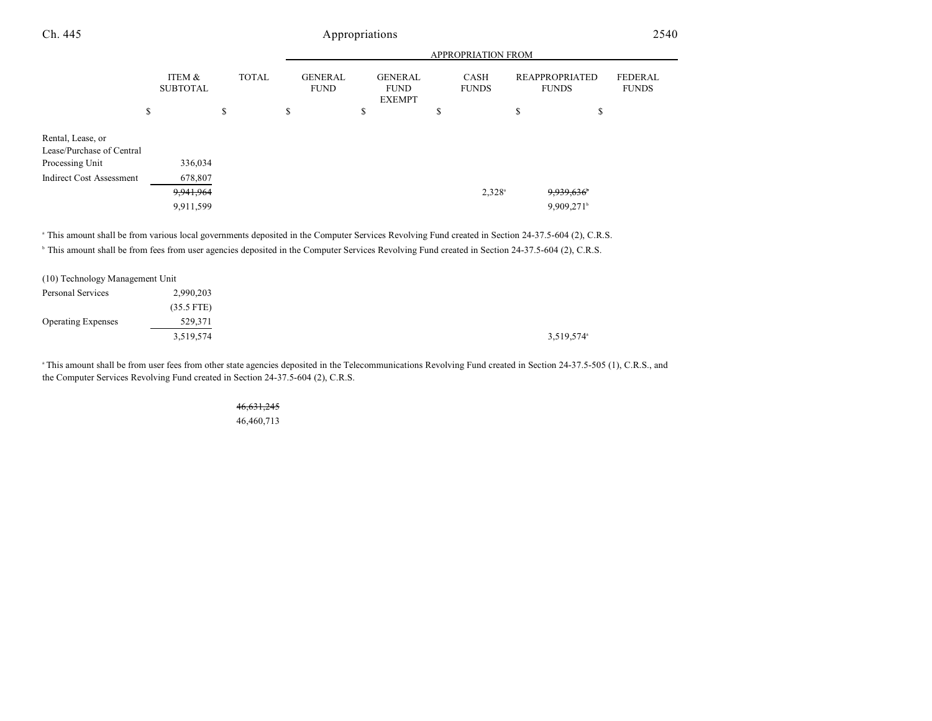|                                                                                                      |                                              |              |  |                               | <b>APPROPRIATION FROM</b> |                                                |  |   |                             |                                       |                                                    |                                |  |
|------------------------------------------------------------------------------------------------------|----------------------------------------------|--------------|--|-------------------------------|---------------------------|------------------------------------------------|--|---|-----------------------------|---------------------------------------|----------------------------------------------------|--------------------------------|--|
|                                                                                                      | ITEM &<br><b>SUBTOTAL</b>                    | <b>TOTAL</b> |  | <b>GENERAL</b><br><b>FUND</b> |                           | <b>GENERAL</b><br><b>FUND</b><br><b>EXEMPT</b> |  |   | <b>CASH</b><br><b>FUNDS</b> | <b>REAPPROPRIATED</b><br><b>FUNDS</b> |                                                    | <b>FEDERAL</b><br><b>FUNDS</b> |  |
|                                                                                                      | \$                                           | P.           |  | \$                            |                           | \$                                             |  | S |                             | P                                     | \$                                                 |                                |  |
| Rental, Lease, or<br>Lease/Purchase of Central<br>Processing Unit<br><b>Indirect Cost Assessment</b> | 336,034<br>678,807<br>9,941,964<br>9,911,599 |              |  |                               |                           |                                                |  |   | $2,328^{\circ}$             |                                       | 9,939,636 <sup>b</sup><br>$9,909,271$ <sup>b</sup> |                                |  |

<sup>a</sup> This amount shall be from various local governments deposited in the Computer Services Revolving Fund created in Section 24-37.5-604 (2), C.R.S.

<sup>b</sup> This amount shall be from fees from user agencies deposited in the Computer Services Revolving Fund created in Section 24-37.5-604 (2), C.R.S.

| (10) Technology Management Unit |              |                        |  |
|---------------------------------|--------------|------------------------|--|
| Personal Services               | 2,990,203    |                        |  |
|                                 | $(35.5$ FTE) |                        |  |
| <b>Operating Expenses</b>       | 529,371      |                        |  |
|                                 | 3,519,574    | 3,519,574 <sup>a</sup> |  |

This amount shall be from user fees from other state agencies deposited in the Telecommunications Revolving Fund created in Section 24-37.5-505 (1), C.R.S., and the Computer Services Revolving Fund created in Section 24-37.5-604 (2), C.R.S.

### 46,631,245 46,460,713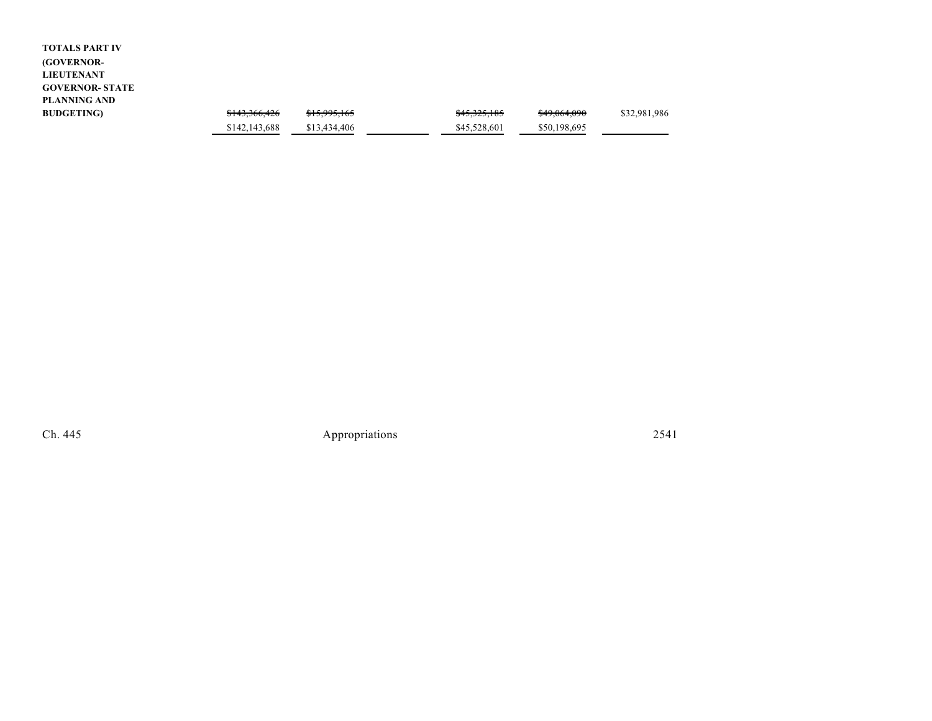| <b>TOTALS PART IV</b>  |               |              |              |              |              |
|------------------------|---------------|--------------|--------------|--------------|--------------|
| (GOVERNOR-             |               |              |              |              |              |
| <b>LIEUTENANT</b>      |               |              |              |              |              |
| <b>GOVERNOR- STATE</b> |               |              |              |              |              |
| PLANNING AND           |               |              |              |              |              |
| <b>BUDGETING</b> )     | \$143,366,426 | \$15,995,165 | \$45,325,185 | \$49,064,090 | \$32,981,986 |
|                        | \$142,143,688 | \$13,434,406 | \$45,528,601 | \$50,198,695 |              |